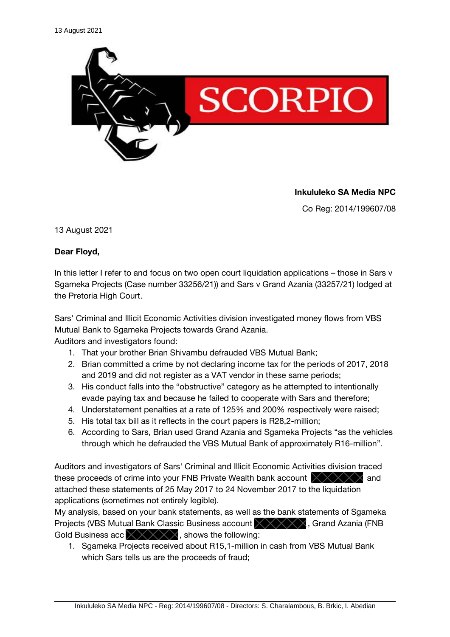

**Inkululeko SA Media NPC**

Co Reg: 2014/199607/08

13 August 2021

## **Dear Floyd,**

In this letter I refer to and focus on two open court liquidation applications – those in Sars v Sgameka Projects (Case number 33256/21)) and Sars v Grand Azania (33257/21) lodged at the Pretoria High Court.

Sars' Criminal and Illicit Economic Activities division investigated money flows from VBS Mutual Bank to Sgameka Projects towards Grand Azania.

Auditors and investigators found:

- 1. That your brother Brian Shivambu defrauded VBS Mutual Bank;
- 2. Brian committed a crime by not declaring income tax for the periods of 2017, 2018 and 2019 and did not register as a VAT vendor in these same periods;
- 3. His conduct falls into the "obstructive" category as he attempted to intentionally evade paying tax and because he failed to cooperate with Sars and therefore;
- 4. Understatement penalties at a rate of 125% and 200% respectively were raised;
- 5. His total tax bill as it refects in the court papers is R28,2-million;
- 6. According to Sars, Brian used Grand Azania and Sgameka Projects "as the vehicles through which he defrauded the VBS Mutual Bank of approximately R16-million".

Auditors and investigators of Sars' Criminal and Illicit Economic Activities division traced these proceeds of crime into your FNB Private Wealth bank account  $\times\!\times\!\times\!\times\!\times$  and attached these statements of 25 May 2017 to 24 November 2017 to the liquidation applications (sometimes not entirely legible).

My analysis, based on your bank statements, as well as the bank statements of Sgameka Projects (VBS Mutual Bank Classic Business account  $\chi\chi\chi\chi\chi$ , Grand Azania (FNB Gold Business acc  $\times$   $\times$   $\times$   $\times$   $\times$  shows the following:

1. Sgameka Projects received about R15,1-million in cash from VBS Mutual Bank which Sars tells us are the proceeds of fraud;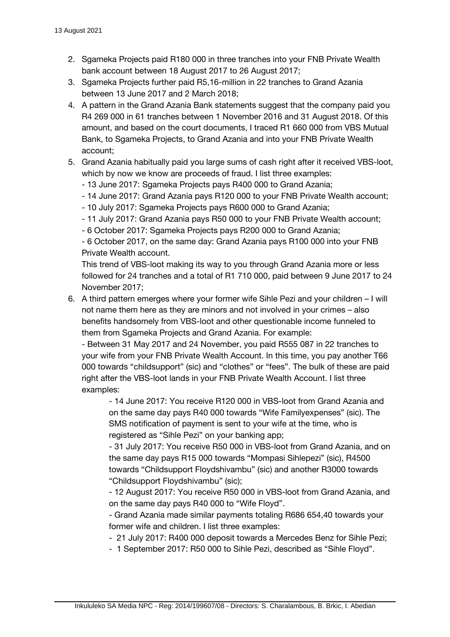- 2. Sgameka Projects paid R180 000 in three tranches into your FNB Private Wealth bank account between 18 August 2017 to 26 August 2017;
- 3. Sgameka Projects further paid R5,16-million in 22 tranches to Grand Azania between 13 June 2017 and 2 March 2018;
- 4. A pattern in the Grand Azania Bank statements suggest that the company paid you R4 269 000 in 61 tranches between 1 November 2016 and 31 August 2018. Of this amount, and based on the court documents, I traced R1 660 000 from VBS Mutual Bank, to Sgameka Projects, to Grand Azania and into your FNB Private Wealth account;
- 5. Grand Azania habitually paid you large sums of cash right after it received VBS-loot, which by now we know are proceeds of fraud. I list three examples:
	- 13 June 2017: Sgameka Projects pays R400 000 to Grand Azania;
	- 14 June 2017: Grand Azania pays R120 000 to your FNB Private Wealth account;
	- 10 July 2017: Sgameka Projects pays R600 000 to Grand Azania;
	- 11 July 2017: Grand Azania pays R50 000 to your FNB Private Wealth account;
	- 6 October 2017: Sgameka Projects pays R200 000 to Grand Azania;

- 6 October 2017, on the same day: Grand Azania pays R100 000 into your FNB Private Wealth account.

This trend of VBS-loot making its way to you through Grand Azania more or less followed for 24 tranches and a total of R1 710 000, paid between 9 June 2017 to 24 November 2017;

6. A third pattern emerges where your former wife Sihle Pezi and your children – I will not name them here as they are minors and not involved in your crimes – also benefts handsomely from VBS-loot and other questionable income funneled to them from Sgameka Projects and Grand Azania. For example:

- Between 31 May 2017 and 24 November, you paid R555 087 in 22 tranches to your wife from your FNB Private Wealth Account. In this time, you pay another T66 000 towards "childsupport" (sic) and "clothes" or "fees". The bulk of these are paid right after the VBS-loot lands in your FNB Private Wealth Account. I list three examples:

- 14 June 2017: You receive R120 000 in VBS-loot from Grand Azania and on the same day pays R40 000 towards "Wife Familyexpenses" (sic). The SMS notifcation of payment is sent to your wife at the time, who is registered as "Sihle Pezi" on your banking app;

- 31 July 2017: You receive R50 000 in VBS-loot from Grand Azania, and on the same day pays R15 000 towards "Mompasi Sihlepezi" (sic), R4500 towards "Childsupport Floydshivambu" (sic) and another R3000 towards "Childsupport Floydshivambu" (sic);

- 12 August 2017: You receive R50 000 in VBS-loot from Grand Azania, and on the same day pays R40 000 to "Wife Floyd".

- Grand Azania made similar payments totaling R686 654,40 towards your former wife and children. I list three examples:

- 21 July 2017: R400 000 deposit towards a Mercedes Benz for Sihle Pezi;

- 1 September 2017: R50 000 to Sihle Pezi, described as "Sihle Floyd".